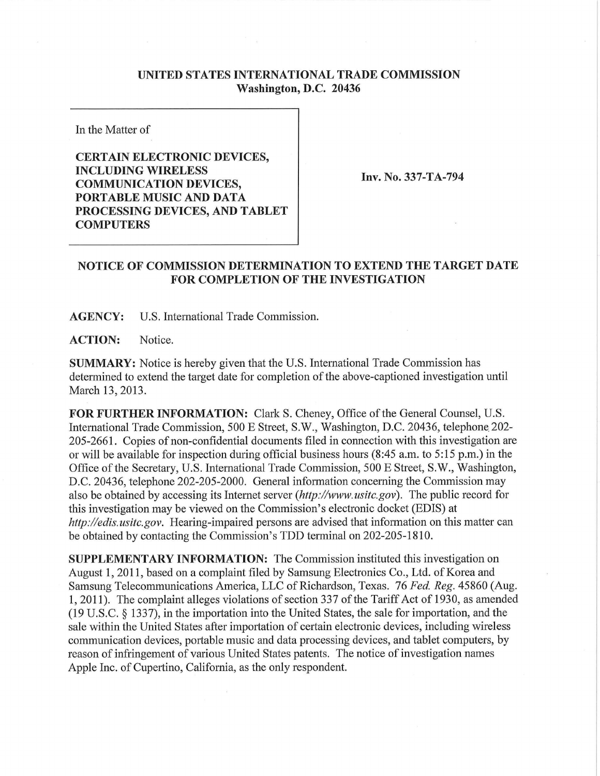## **UNITED STATES INTERNATIONAL TRADE COMMISSION Washington, D.C. 20436**

In the Matter of

**CERTAIN ELECTRONIC DEVICES, INCLUDING WIRELESS COMMUNICATION DEVICES, PORTABLE MUSIC AND DATA PROCESSING DEVICES, AND TABLET COMPUTERS** 

**Inv. No. 337-TA-794** 

## **NOTICE OF COMMISSION DETERMINATION TO EXTEND THE TARGET DATE FOR COMPLETION OF THE INVESTIGATION**

**AGENCY:** U.S. International Trade Commission.

**ACTION:** Notice.

**SUMMARY:** Notice is hereby given that the U.S. International Trade Commission has determined to extend the target date for completion of the above-captioned investigation until March 13,2013.

FOR FURTHER INFORMATION: Clark S. Cheney, Office of the General Counsel, U.S. International Trade Commission, 500 E Street, S.W., Washington, D.C. 20436, telephone 202- 205-2661. Copies of non-confidential documents filed in connection with this investigation are or will be available for inspection during official business hours (8:45 a.m. to 5:15 p.m.) in the Office of the Secretary, U.S. International Trade Commission, 500 E Street, S.W., Washington, D.C. 20436, telephone 202-205-2000. General information concerning the Commission may also be obtained by accessing its Internet server *{http://www.usitc.gov).* The public record for this investigation may be viewed on the Commission's electronic docket (EDIS) at *http://edis.usitc.gov.* Hearing-impaired persons are advised that information on this matter can be obtained by contacting the Commission's TDD terminal on 202-205-1810.

**SUPPLEMENTARY INFORMATION:** The Commission instituted this investigation on August 1, 2011, based on a complaint filed by Samsung Electronics Co., Ltd. of Korea and Samsung Telecommunications America, LLC of Richardson, Texas. 76 *Fed. Reg.* 45860 (Aug. 1, 2011). The complaint alleges violations of section 337 of the Tariff Act of 1930, as amended (19 U.S.C. § 1337), in the importation into the United States, the sale for importation, and the sale within the United States after importation of certain electronic devices, including wireless communication devices, portable music and data processing devices, and tablet computers, by reason of infringement of various United States patents. The notice of investigation names Apple Inc. of Cupertino, California, as the only respondent.